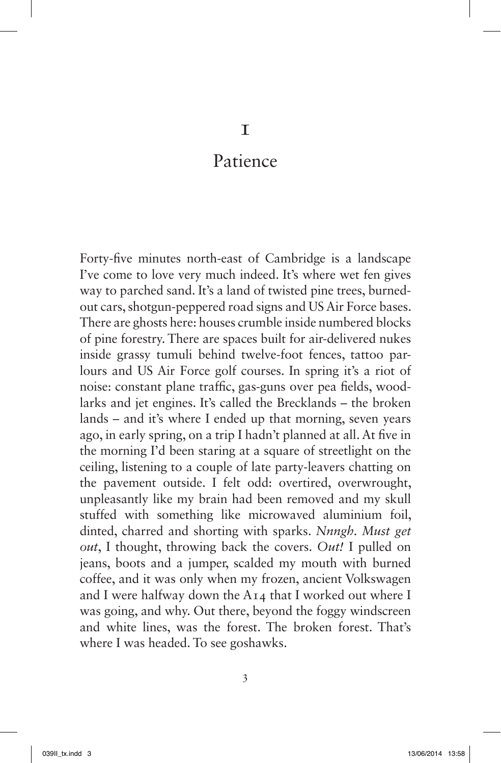## Patience

Forty-five minutes north-east of Cambridge is a landscape I've come to love very much indeed. It's where wet fen gives way to parched sand. It's a land of twisted pine trees, burnedout cars, shotgun-peppered road signs and US Air Force bases. There are ghosts here: houses crumble inside numbered blocks of pine forestry. There are spaces built for air-delivered nukes inside grassy tumuli behind twelve-foot fences, tattoo parlours and US Air Force golf courses. In spring it's a riot of noise: constant plane traffic, gas-guns over pea fields, woodlarks and jet engines. It's called the Brecklands – the broken lands – and it's where I ended up that morning, seven years ago, in early spring, on a trip I hadn't planned at all. At five in the morning I'd been staring at a square of streetlight on the ceiling, listening to a couple of late party-leavers chatting on the pavement outside. I felt odd: overtired, overwrought, unpleasantly like my brain had been removed and my skull stuffed with something like microwaved aluminium foil, dinted, charred and shorting with sparks. *Nnngh. Must get out*, I thought, throwing back the covers. *Out!* I pulled on jeans, boots and a jumper, scalded my mouth with burned coffee, and it was only when my frozen, ancient Volkswagen and I were halfway down the A14 that I worked out where I was going, and why. Out there, beyond the foggy windscreen and white lines, was the forest. The broken forest. That's where I was headed. To see goshawks.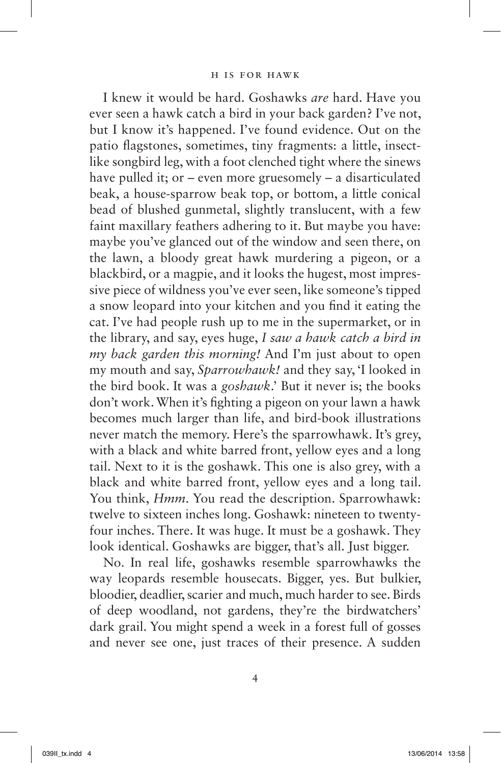I knew it would be hard. Goshawks *are* hard. Have you ever seen a hawk catch a bird in your back garden? I've not, but I know it's happened. I've found evidence. Out on the patio flagstones, sometimes, tiny fragments: a little, insectlike songbird leg, with a foot clenched tight where the sinews have pulled it; or – even more gruesomely – a disarticulated beak, a house-sparrow beak top, or bottom, a little conical bead of blushed gunmetal, slightly translucent, with a few faint maxillary feathers adhering to it. But maybe you have: maybe you've glanced out of the window and seen there, on the lawn, a bloody great hawk murdering a pigeon, or a blackbird, or a magpie, and it looks the hugest, most impressive piece of wildness you've ever seen, like someone's tipped a snow leopard into your kitchen and you find it eating the cat. I've had people rush up to me in the supermarket, or in the library, and say, eyes huge, *I saw a hawk catch a bird in my back garden this morning!* And I'm just about to open my mouth and say, *Sparrowhawk!* and they say, 'I looked in the bird book. It was a *goshawk*.' But it never is; the books don't work. When it's fighting a pigeon on your lawn a hawk becomes much larger than life, and bird-book illustrations never match the memory. Here's the sparrowhawk. It's grey, with a black and white barred front, yellow eyes and a long tail. Next to it is the goshawk. This one is also grey, with a black and white barred front, yellow eyes and a long tail. You think, *Hmm*. You read the description. Sparrowhawk: twelve to sixteen inches long. Goshawk: nineteen to twentyfour inches. There. It was huge. It must be a goshawk. They look identical. Goshawks are bigger, that's all. Just bigger.

No. In real life, goshawks resemble sparrowhawks the way leopards resemble housecats. Bigger, yes. But bulkier, bloodier, deadlier, scarier and much, much harder to see. Birds of deep woodland, not gardens, they're the birdwatchers' dark grail. You might spend a week in a forest full of gosses and never see one, just traces of their presence. A sudden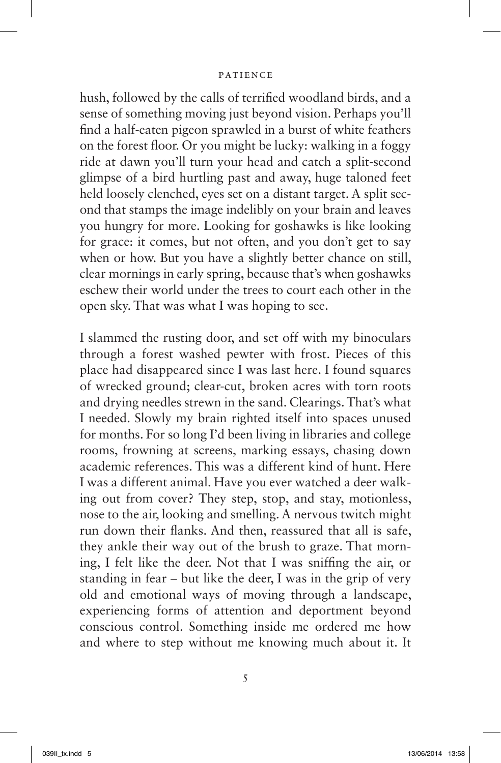## Patience

hush, followed by the calls of terrified woodland birds, and a sense of something moving just beyond vision. Perhaps you'll find a half-eaten pigeon sprawled in a burst of white feathers on the forest floor. Or you might be lucky: walking in a foggy ride at dawn you'll turn your head and catch a split-second glimpse of a bird hurtling past and away, huge taloned feet held loosely clenched, eyes set on a distant target. A split second that stamps the image indelibly on your brain and leaves you hungry for more. Looking for goshawks is like looking for grace: it comes, but not often, and you don't get to say when or how. But you have a slightly better chance on still, clear mornings in early spring, because that's when goshawks eschew their world under the trees to court each other in the open sky. That was what I was hoping to see.

I slammed the rusting door, and set off with my binoculars through a forest washed pewter with frost. Pieces of this place had disappeared since I was last here. I found squares of wrecked ground; clear-cut, broken acres with torn roots and drying needles strewn in the sand. Clearings. That's what I needed. Slowly my brain righted itself into spaces unused for months. For so long I'd been living in libraries and college rooms, frowning at screens, marking essays, chasing down academic references. This was a different kind of hunt. Here I was a different animal. Have you ever watched a deer walking out from cover? They step, stop, and stay, motionless, nose to the air, looking and smelling. A nervous twitch might run down their flanks. And then, reassured that all is safe, they ankle their way out of the brush to graze. That morning, I felt like the deer. Not that I was sniffing the air, or standing in fear – but like the deer, I was in the grip of very old and emotional ways of moving through a landscape, experiencing forms of attention and deportment beyond conscious control. Something inside me ordered me how and where to step without me knowing much about it. It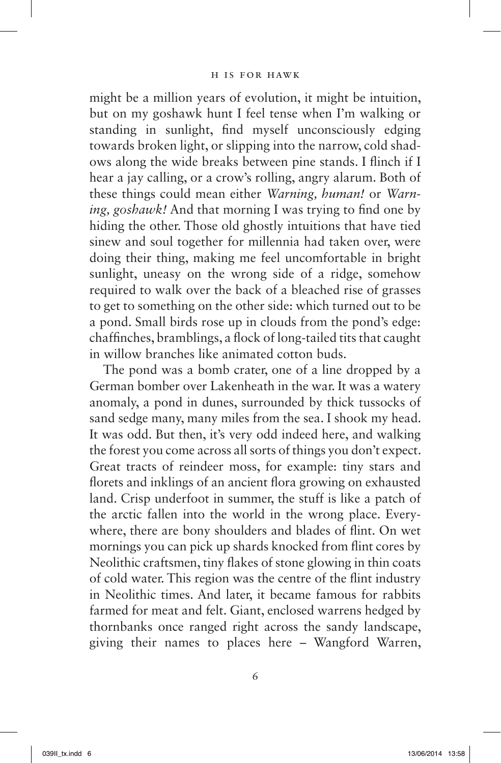might be a million years of evolution, it might be intuition, but on my goshawk hunt I feel tense when I'm walking or standing in sunlight, find myself unconsciously edging towards broken light, or slipping into the narrow, cold shadows along the wide breaks between pine stands. I flinch if I hear a jay calling, or a crow's rolling, angry alarum. Both of these things could mean either *Warning, human!* or *Warning, goshawk!* And that morning I was trying to find one by hiding the other. Those old ghostly intuitions that have tied sinew and soul together for millennia had taken over, were doing their thing, making me feel uncomfortable in bright sunlight, uneasy on the wrong side of a ridge, somehow required to walk over the back of a bleached rise of grasses to get to something on the other side: which turned out to be a pond. Small birds rose up in clouds from the pond's edge: chaffinches, bramblings, a flock of long-tailed tits that caught in willow branches like animated cotton buds.

The pond was a bomb crater, one of a line dropped by a German bomber over Lakenheath in the war. It was a watery anomaly, a pond in dunes, surrounded by thick tussocks of sand sedge many, many miles from the sea. I shook my head. It was odd. But then, it's very odd indeed here, and walking the forest you come across all sorts of things you don't expect. Great tracts of reindeer moss, for example: tiny stars and florets and inklings of an ancient flora growing on exhausted land. Crisp underfoot in summer, the stuff is like a patch of the arctic fallen into the world in the wrong place. Everywhere, there are bony shoulders and blades of flint. On wet mornings you can pick up shards knocked from flint cores by Neolithic craftsmen, tiny flakes of stone glowing in thin coats of cold water. This region was the centre of the flint industry in Neolithic times. And later, it became famous for rabbits farmed for meat and felt. Giant, enclosed warrens hedged by thornbanks once ranged right across the sandy landscape, giving their names to places here – Wangford Warren,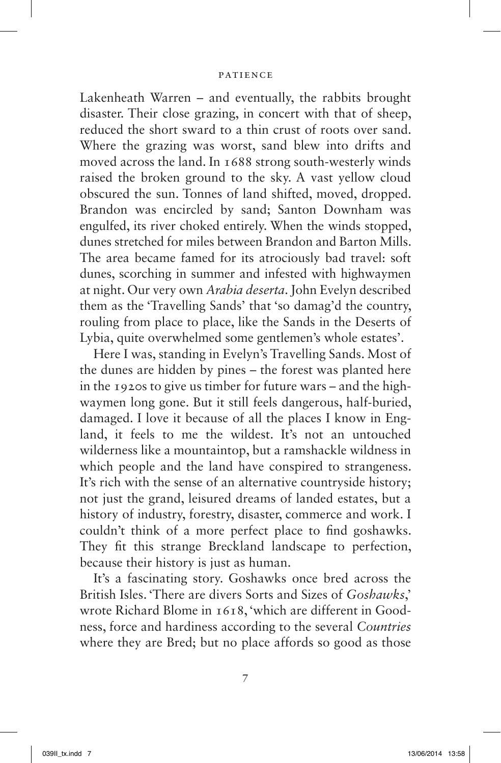Lakenheath Warren – and eventually, the rabbits brought disaster. Their close grazing, in concert with that of sheep, reduced the short sward to a thin crust of roots over sand. Where the grazing was worst, sand blew into drifts and moved across the land. In 1688 strong south-westerly winds raised the broken ground to the sky. A vast yellow cloud obscured the sun. Tonnes of land shifted, moved, dropped. Brandon was encircled by sand; Santon Downham was engulfed, its river choked entirely. When the winds stopped, dunes stretched for miles between Brandon and Barton Mills. The area became famed for its atrociously bad travel: soft dunes, scorching in summer and infested with highwaymen at night. Our very own *Arabia deserta*. John Evelyn described them as the 'Travelling Sands' that 'so damag'd the country, rouling from place to place, like the Sands in the Deserts of Lybia, quite overwhelmed some gentlemen's whole estates'.

Here I was, standing in Evelyn's Travelling Sands. Most of the dunes are hidden by pines – the forest was planted here in the 1920s to give us timber for future wars – and the highwaymen long gone. But it still feels dangerous, half-buried, damaged. I love it because of all the places I know in England, it feels to me the wildest. It's not an untouched wilderness like a mountaintop, but a ramshackle wildness in which people and the land have conspired to strangeness. It's rich with the sense of an alternative countryside history; not just the grand, leisured dreams of landed estates, but a history of industry, forestry, disaster, commerce and work. I couldn't think of a more perfect place to find goshawks. They fit this strange Breckland landscape to perfection, because their history is just as human.

It's a fascinating story. Goshawks once bred across the British Isles. 'There are divers Sorts and Sizes of *Goshawks*,' wrote Richard Blome in 1618, 'which are different in Goodness, force and hardiness according to the several *Countries* where they are Bred; but no place affords so good as those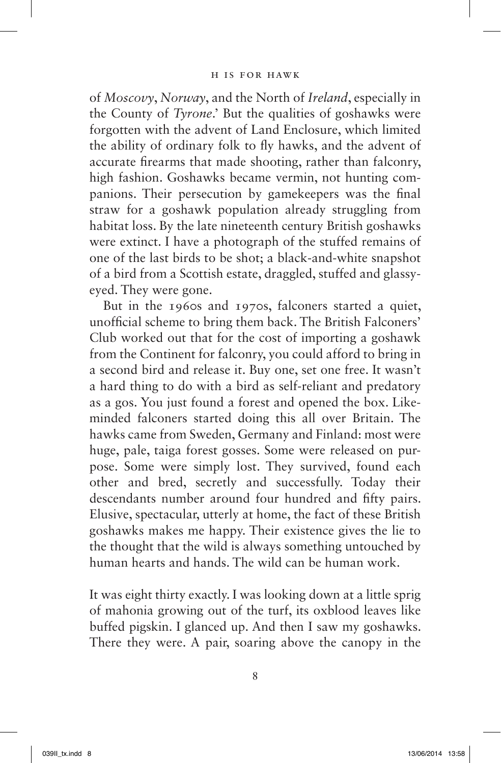of *Moscovy*, *Norway*, and the North of *Ireland*, especially in the County of *Tyrone*.' But the qualities of goshawks were forgotten with the advent of Land Enclosure, which limited the ability of ordinary folk to fly hawks, and the advent of accurate firearms that made shooting, rather than falconry, high fashion. Goshawks became vermin, not hunting companions. Their persecution by gamekeepers was the final straw for a goshawk population already struggling from habitat loss. By the late nineteenth century British goshawks were extinct. I have a photograph of the stuffed remains of one of the last birds to be shot; a black-and-white snapshot of a bird from a Scottish estate, draggled, stuffed and glassyeyed. They were gone.

But in the 1960s and 1970s, falconers started a quiet, unofficial scheme to bring them back. The British Falconers' Club worked out that for the cost of importing a goshawk from the Continent for falconry, you could afford to bring in a second bird and release it. Buy one, set one free. It wasn't a hard thing to do with a bird as self-reliant and predatory as a gos. You just found a forest and opened the box. Likeminded falconers started doing this all over Britain. The hawks came from Sweden, Germany and Finland: most were huge, pale, taiga forest gosses. Some were released on purpose. Some were simply lost. They survived, found each other and bred, secretly and successfully. Today their descendants number around four hundred and fifty pairs. Elusive, spectacular, utterly at home, the fact of these British goshawks makes me happy. Their existence gives the lie to the thought that the wild is always something untouched by human hearts and hands. The wild can be human work.

It was eight thirty exactly. I was looking down at a little sprig of mahonia growing out of the turf, its oxblood leaves like buffed pigskin. I glanced up. And then I saw my goshawks. There they were. A pair, soaring above the canopy in the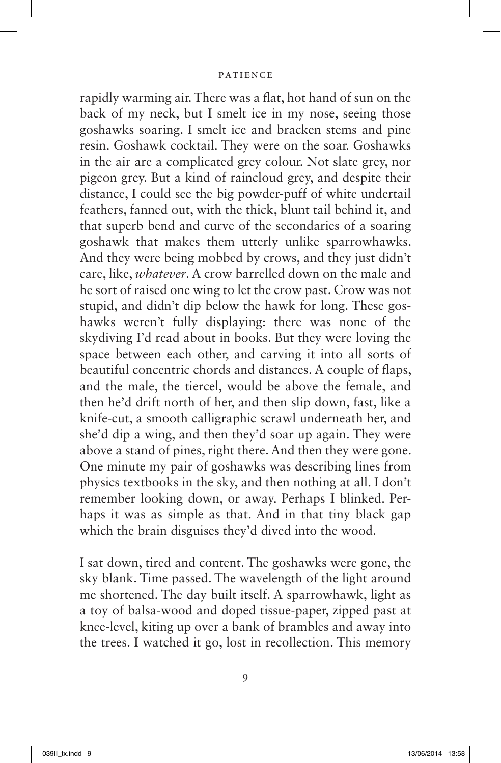rapidly warming air. There was a flat, hot hand of sun on the back of my neck, but I smelt ice in my nose, seeing those goshawks soaring. I smelt ice and bracken stems and pine resin. Goshawk cocktail. They were on the soar. Goshawks in the air are a complicated grey colour. Not slate grey, nor pigeon grey. But a kind of raincloud grey, and despite their distance, I could see the big powder-puff of white undertail feathers, fanned out, with the thick, blunt tail behind it, and that superb bend and curve of the secondaries of a soaring goshawk that makes them utterly unlike sparrowhawks. And they were being mobbed by crows, and they just didn't care, like, *whatever*. A crow barrelled down on the male and he sort of raised one wing to let the crow past. Crow was not stupid, and didn't dip below the hawk for long. These goshawks weren't fully displaying: there was none of the skydiving I'd read about in books. But they were loving the space between each other, and carving it into all sorts of beautiful concentric chords and distances. A couple of flaps, and the male, the tiercel, would be above the female, and then he'd drift north of her, and then slip down, fast, like a knife-cut, a smooth calligraphic scrawl underneath her, and she'd dip a wing, and then they'd soar up again. They were above a stand of pines, right there. And then they were gone. One minute my pair of goshawks was describing lines from physics textbooks in the sky, and then nothing at all. I don't remember looking down, or away. Perhaps I blinked. Perhaps it was as simple as that. And in that tiny black gap which the brain disguises they'd dived into the wood.

I sat down, tired and content. The goshawks were gone, the sky blank. Time passed. The wavelength of the light around me shortened. The day built itself. A sparrowhawk, light as a toy of balsa-wood and doped tissue-paper, zipped past at knee-level, kiting up over a bank of brambles and away into the trees. I watched it go, lost in recollection. This memory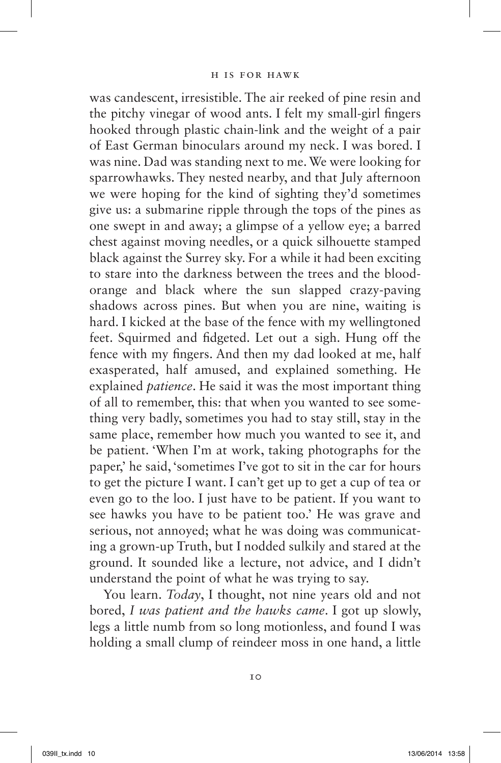was candescent, irresistible. The air reeked of pine resin and the pitchy vinegar of wood ants. I felt my small-girl fingers hooked through plastic chain-link and the weight of a pair of East German binoculars around my neck. I was bored. I was nine. Dad was standing next to me. We were looking for sparrowhawks. They nested nearby, and that July afternoon we were hoping for the kind of sighting they'd sometimes give us: a submarine ripple through the tops of the pines as one swept in and away; a glimpse of a yellow eye; a barred chest against moving needles, or a quick silhouette stamped black against the Surrey sky. For a while it had been exciting to stare into the darkness between the trees and the bloodorange and black where the sun slapped crazy-paving shadows across pines. But when you are nine, waiting is hard. I kicked at the base of the fence with my wellingtoned feet. Squirmed and fidgeted. Let out a sigh. Hung off the fence with my fingers. And then my dad looked at me, half exasperated, half amused, and explained something. He explained *patience*. He said it was the most important thing of all to remember, this: that when you wanted to see something very badly, sometimes you had to stay still, stay in the same place, remember how much you wanted to see it, and be patient. 'When I'm at work, taking photographs for the paper,' he said, 'sometimes I've got to sit in the car for hours to get the picture I want. I can't get up to get a cup of tea or even go to the loo. I just have to be patient. If you want to see hawks you have to be patient too.' He was grave and serious, not annoyed; what he was doing was communicating a grown-up Truth, but I nodded sulkily and stared at the ground. It sounded like a lecture, not advice, and I didn't understand the point of what he was trying to say.

You learn. *Today*, I thought, not nine years old and not bored, *I was patient and the hawks came*. I got up slowly, legs a little numb from so long motionless, and found I was holding a small clump of reindeer moss in one hand, a little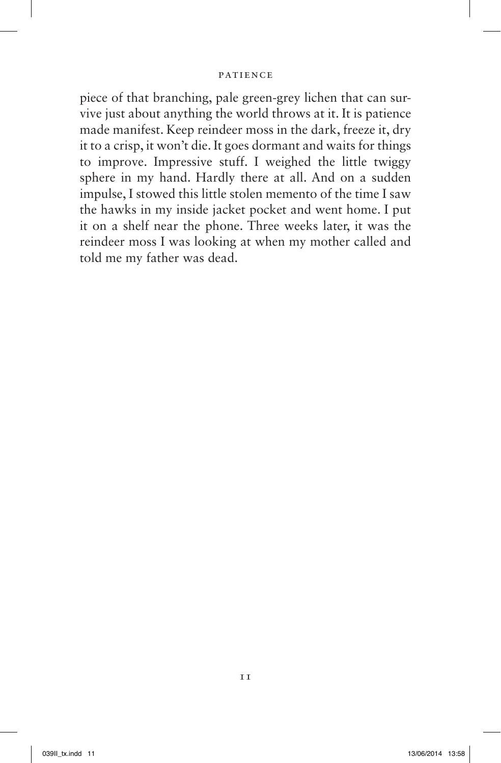## Patience

piece of that branching, pale green-grey lichen that can survive just about anything the world throws at it. It is patience made manifest. Keep reindeer moss in the dark, freeze it, dry it to a crisp, it won't die. It goes dormant and waits for things to improve. Impressive stuff. I weighed the little twiggy sphere in my hand. Hardly there at all. And on a sudden impulse, I stowed this little stolen memento of the time I saw the hawks in my inside jacket pocket and went home. I put it on a shelf near the phone. Three weeks later, it was the reindeer moss I was looking at when my mother called and told me my father was dead.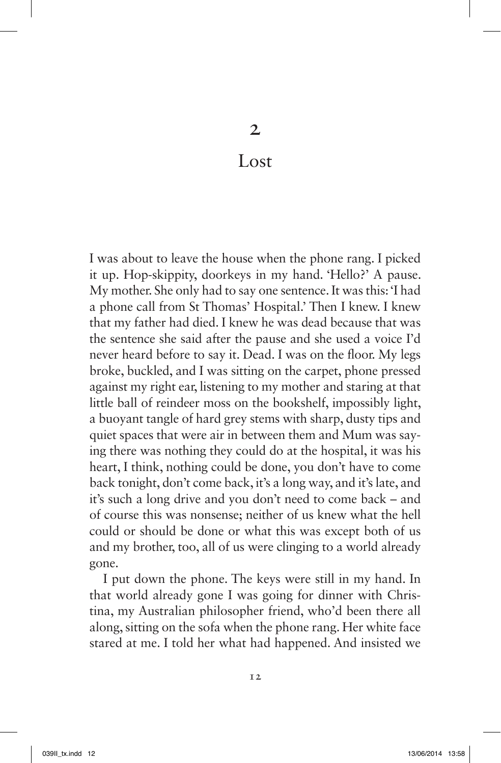## Lost

I was about to leave the house when the phone rang. I picked it up. Hop-skippity, doorkeys in my hand. 'Hello?' A pause. My mother. She only had to say one sentence. It was this: 'I had a phone call from St Thomas' Hospital.' Then I knew. I knew that my father had died. I knew he was dead because that was the sentence she said after the pause and she used a voice I'd never heard before to say it. Dead. I was on the floor. My legs broke, buckled, and I was sitting on the carpet, phone pressed against my right ear, listening to my mother and staring at that little ball of reindeer moss on the bookshelf, impossibly light, a buoyant tangle of hard grey stems with sharp, dusty tips and quiet spaces that were air in between them and Mum was saying there was nothing they could do at the hospital, it was his heart, I think, nothing could be done, you don't have to come back tonight, don't come back, it's a long way, and it's late, and it's such a long drive and you don't need to come back – and of course this was nonsense; neither of us knew what the hell could or should be done or what this was except both of us and my brother, too, all of us were clinging to a world already gone.

I put down the phone. The keys were still in my hand. In that world already gone I was going for dinner with Christina, my Australian philosopher friend, who'd been there all along, sitting on the sofa when the phone rang. Her white face stared at me. I told her what had happened. And insisted we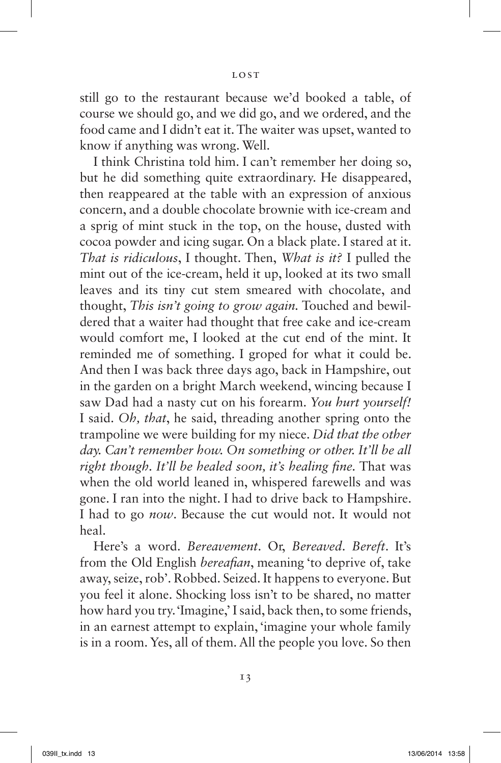still go to the restaurant because we'd booked a table, of course we should go, and we did go, and we ordered, and the food came and I didn't eat it. The waiter was upset, wanted to know if anything was wrong. Well.

I think Christina told him. I can't remember her doing so, but he did something quite extraordinary. He disappeared, then reappeared at the table with an expression of anxious concern, and a double chocolate brownie with ice-cream and a sprig of mint stuck in the top, on the house, dusted with cocoa powder and icing sugar. On a black plate. I stared at it. *That is ridiculous*, I thought. Then, *What is it?* I pulled the mint out of the ice-cream, held it up, looked at its two small leaves and its tiny cut stem smeared with chocolate, and thought, *This isn't going to grow again.* Touched and bewildered that a waiter had thought that free cake and ice-cream would comfort me, I looked at the cut end of the mint. It reminded me of something. I groped for what it could be. And then I was back three days ago, back in Hampshire, out in the garden on a bright March weekend, wincing because I saw Dad had a nasty cut on his forearm. *You hurt yourself!* I said. *Oh, that*, he said, threading another spring onto the trampoline we were building for my niece. *Did that the other day. Can't remember how. On something or other. It'll be all right though. It'll be healed soon, it's healing fine.* That was when the old world leaned in, whispered farewells and was gone. I ran into the night. I had to drive back to Hampshire. I had to go *now*. Because the cut would not. It would not heal.

Here's a word. *Bereavement*. Or, *Bereaved*. *Bereft*. It's from the Old English *bereafian*, meaning 'to deprive of, take away, seize, rob'. Robbed. Seized. It happens to everyone. But you feel it alone. Shocking loss isn't to be shared, no matter how hard you try. 'Imagine,' I said, back then, to some friends, in an earnest attempt to explain, 'imagine your whole family is in a room. Yes, all of them. All the people you love. So then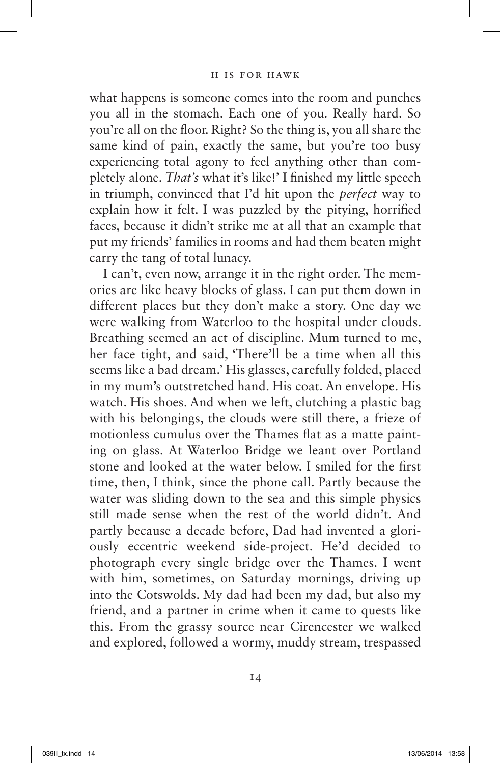what happens is someone comes into the room and punches you all in the stomach. Each one of you. Really hard. So you're all on the floor. Right? So the thing is, you all share the same kind of pain, exactly the same, but you're too busy experiencing total agony to feel anything other than completely alone. *That's* what it's like!' I finished my little speech in triumph, convinced that I'd hit upon the *perfect* way to explain how it felt. I was puzzled by the pitying, horrified faces, because it didn't strike me at all that an example that put my friends' families in rooms and had them beaten might carry the tang of total lunacy.

I can't, even now, arrange it in the right order. The memories are like heavy blocks of glass. I can put them down in different places but they don't make a story. One day we were walking from Waterloo to the hospital under clouds. Breathing seemed an act of discipline. Mum turned to me, her face tight, and said, 'There'll be a time when all this seems like a bad dream.' His glasses, carefully folded, placed in my mum's outstretched hand. His coat. An envelope. His watch. His shoes. And when we left, clutching a plastic bag with his belongings, the clouds were still there, a frieze of motionless cumulus over the Thames flat as a matte painting on glass. At Waterloo Bridge we leant over Portland stone and looked at the water below. I smiled for the first time, then, I think, since the phone call. Partly because the water was sliding down to the sea and this simple physics still made sense when the rest of the world didn't. And partly because a decade before, Dad had invented a gloriously eccentric weekend side-project. He'd decided to photograph every single bridge over the Thames. I went with him, sometimes, on Saturday mornings, driving up into the Cotswolds. My dad had been my dad, but also my friend, and a partner in crime when it came to quests like this. From the grassy source near Cirencester we walked and explored, followed a wormy, muddy stream, trespassed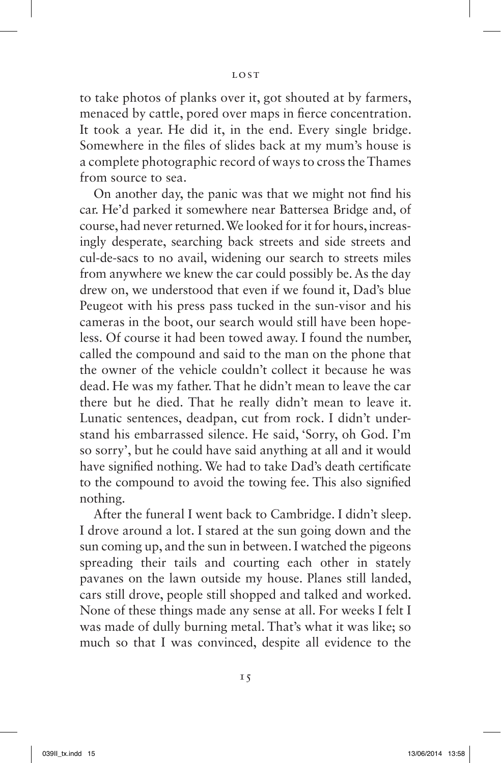to take photos of planks over it, got shouted at by farmers, menaced by cattle, pored over maps in fierce concentration. It took a year. He did it, in the end. Every single bridge. Somewhere in the files of slides back at my mum's house is a complete photographic record of ways to cross the Thames from source to sea.

On another day, the panic was that we might not find his car. He'd parked it somewhere near Battersea Bridge and, of course, had never returned. We looked for it for hours, increasingly desperate, searching back streets and side streets and cul-de-sacs to no avail, widening our search to streets miles from anywhere we knew the car could possibly be. As the day drew on, we understood that even if we found it, Dad's blue Peugeot with his press pass tucked in the sun-visor and his cameras in the boot, our search would still have been hopeless. Of course it had been towed away. I found the number, called the compound and said to the man on the phone that the owner of the vehicle couldn't collect it because he was dead. He was my father. That he didn't mean to leave the car there but he died. That he really didn't mean to leave it. Lunatic sentences, deadpan, cut from rock. I didn't understand his embarrassed silence. He said, 'Sorry, oh God. I'm so sorry', but he could have said anything at all and it would have signified nothing. We had to take Dad's death certificate to the compound to avoid the towing fee. This also signified nothing.

After the funeral I went back to Cambridge. I didn't sleep. I drove around a lot. I stared at the sun going down and the sun coming up, and the sun in between. I watched the pigeons spreading their tails and courting each other in stately pavanes on the lawn outside my house. Planes still landed, cars still drove, people still shopped and talked and worked. None of these things made any sense at all. For weeks I felt I was made of dully burning metal. That's what it was like; so much so that I was convinced, despite all evidence to the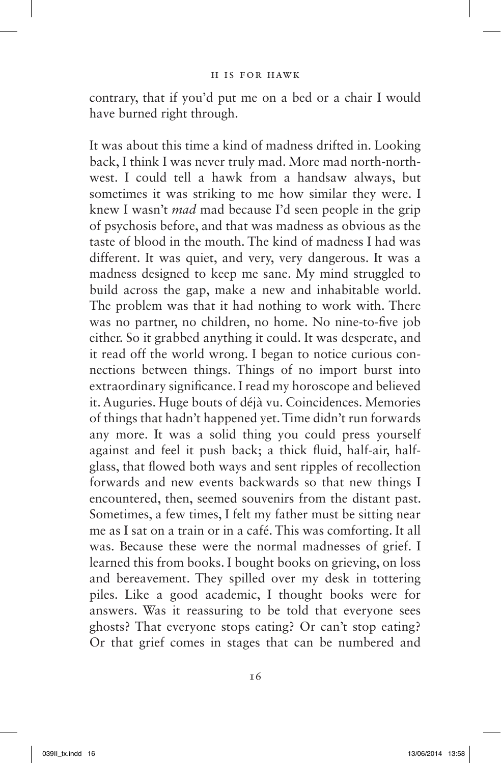contrary, that if you'd put me on a bed or a chair I would have burned right through.

It was about this time a kind of madness drifted in. Looking back, I think I was never truly mad. More mad north-northwest. I could tell a hawk from a handsaw always, but sometimes it was striking to me how similar they were. I knew I wasn't *mad* mad because I'd seen people in the grip of psychosis before, and that was madness as obvious as the taste of blood in the mouth. The kind of madness I had was different. It was quiet, and very, very dangerous. It was a madness designed to keep me sane. My mind struggled to build across the gap, make a new and inhabitable world. The problem was that it had nothing to work with. There was no partner, no children, no home. No nine-to-five job either. So it grabbed anything it could. It was desperate, and it read off the world wrong. I began to notice curious connections between things. Things of no import burst into extraordinary significance. I read my horoscope and believed it. Auguries. Huge bouts of déjà vu. Coincidences. Memories of things that hadn't happened yet. Time didn't run forwards any more. It was a solid thing you could press yourself against and feel it push back; a thick fluid, half-air, halfglass, that flowed both ways and sent ripples of recollection forwards and new events backwards so that new things I encountered, then, seemed souvenirs from the distant past. Sometimes, a few times, I felt my father must be sitting near me as I sat on a train or in a café. This was comforting. It all was. Because these were the normal madnesses of grief. I learned this from books. I bought books on grieving, on loss and bereavement. They spilled over my desk in tottering piles. Like a good academic, I thought books were for answers. Was it reassuring to be told that everyone sees ghosts? That everyone stops eating? Or can't stop eating? Or that grief comes in stages that can be numbered and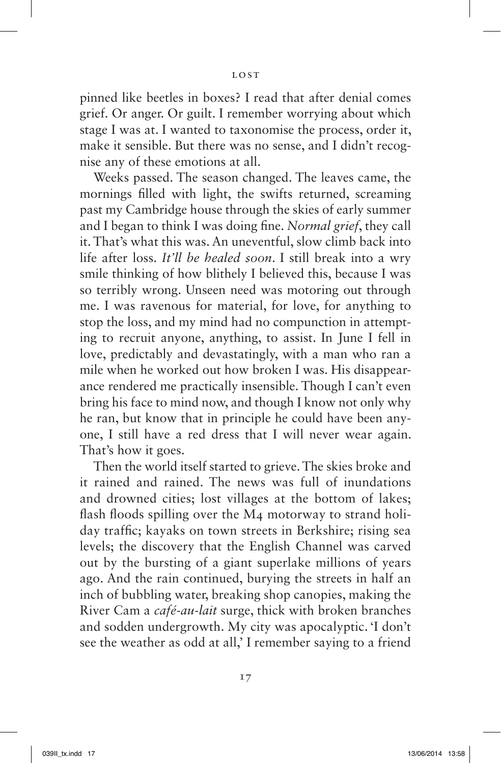pinned like beetles in boxes? I read that after denial comes grief. Or anger. Or guilt. I remember worrying about which stage I was at. I wanted to taxonomise the process, order it, make it sensible. But there was no sense, and I didn't recognise any of these emotions at all.

Weeks passed. The season changed. The leaves came, the mornings filled with light, the swifts returned, screaming past my Cambridge house through the skies of early summer and I began to think I was doing fine. *Normal grief*, they call it. That's what this was. An uneventful, slow climb back into life after loss. *It'll be healed soon*. I still break into a wry smile thinking of how blithely I believed this, because I was so terribly wrong. Unseen need was motoring out through me. I was ravenous for material, for love, for anything to stop the loss, and my mind had no compunction in attempting to recruit anyone, anything, to assist. In June I fell in love, predictably and devastatingly, with a man who ran a mile when he worked out how broken I was. His disappearance rendered me practically insensible. Though I can't even bring his face to mind now, and though I know not only why he ran, but know that in principle he could have been anyone, I still have a red dress that I will never wear again. That's how it goes.

Then the world itself started to grieve. The skies broke and it rained and rained. The news was full of inundations and drowned cities; lost villages at the bottom of lakes; flash floods spilling over the M4 motorway to strand holiday traffic; kayaks on town streets in Berkshire; rising sea levels; the discovery that the English Channel was carved out by the bursting of a giant superlake millions of years ago. And the rain continued, burying the streets in half an inch of bubbling water, breaking shop canopies, making the River Cam a *café-au-lait* surge, thick with broken branches and sodden undergrowth. My city was apocalyptic. 'I don't see the weather as odd at all,' I remember saying to a friend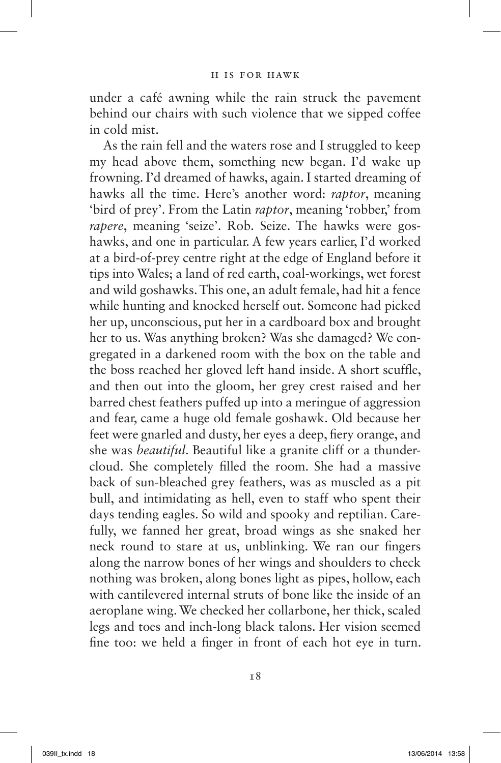under a café awning while the rain struck the pavement behind our chairs with such violence that we sipped coffee in cold mist.

As the rain fell and the waters rose and I struggled to keep my head above them, something new began. I'd wake up frowning. I'd dreamed of hawks, again. I started dreaming of hawks all the time. Here's another word: *raptor*, meaning 'bird of prey'. From the Latin *raptor*, meaning 'robber,' from *rapere*, meaning 'seize'. Rob. Seize. The hawks were goshawks, and one in particular. A few years earlier, I'd worked at a bird-of-prey centre right at the edge of England before it tips into Wales; a land of red earth, coal-workings, wet forest and wild goshawks. This one, an adult female, had hit a fence while hunting and knocked herself out. Someone had picked her up, unconscious, put her in a cardboard box and brought her to us. Was anything broken? Was she damaged? We congregated in a darkened room with the box on the table and the boss reached her gloved left hand inside. A short scuffle, and then out into the gloom, her grey crest raised and her barred chest feathers puffed up into a meringue of aggression and fear, came a huge old female goshawk. Old because her feet were gnarled and dusty, her eyes a deep, fiery orange, and she was *beautiful*. Beautiful like a granite cliff or a thundercloud. She completely filled the room. She had a massive back of sun-bleached grey feathers, was as muscled as a pit bull, and intimidating as hell, even to staff who spent their days tending eagles. So wild and spooky and reptilian. Carefully, we fanned her great, broad wings as she snaked her neck round to stare at us, unblinking. We ran our fingers along the narrow bones of her wings and shoulders to check nothing was broken, along bones light as pipes, hollow, each with cantilevered internal struts of bone like the inside of an aeroplane wing. We checked her collarbone, her thick, scaled legs and toes and inch-long black talons. Her vision seemed fine too: we held a finger in front of each hot eye in turn.